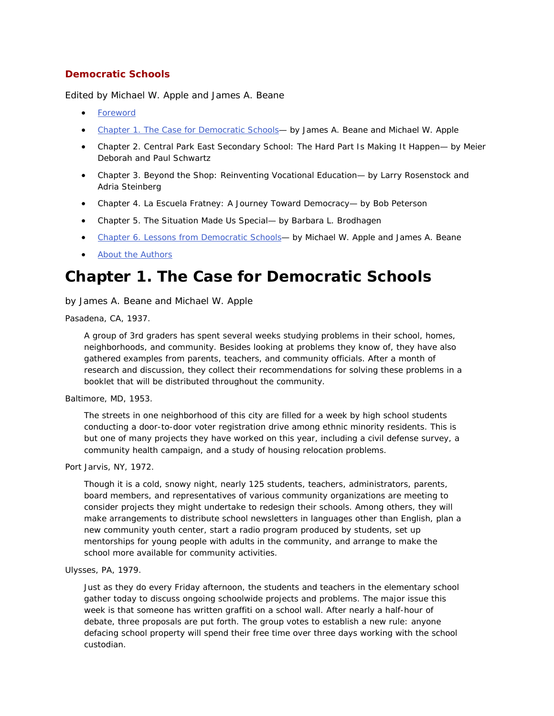### **Democratic Schools**

*Edited by Michael W. Apple and James A. Beane* 

- **Foreword**
- Chapter 1. The Case for Democratic Schools— *by James A. Beane and Michael W. Apple*
- Chapter 2. Central Park East Secondary School: The Hard Part Is Making It Happen— *by Meier Deborah and Paul Schwartz*
- Chapter 3. Beyond the Shop: Reinventing Vocational Education— *by Larry Rosenstock and Adria Steinberg*
- Chapter 4. La Escuela Fratney: A Journey Toward Democracy— *by Bob Peterson*
- Chapter 5. The Situation Made Us Special— *by Barbara L. Brodhagen*
- Chapter 6. Lessons from Democratic Schools— *by Michael W. Apple and James A. Beane*
- About the Authors

# **Chapter 1. The Case for Democratic Schools**

*by James A. Beane and Michael W. Apple* 

Pasadena, CA, 1937.

A group of 3rd graders has spent several weeks studying problems in their school, homes, neighborhoods, and community. Besides looking at problems they know of, they have also gathered examples from parents, teachers, and community officials. After a month of research and discussion, they collect their recommendations for solving these problems in a booklet that will be distributed throughout the community.

Baltimore, MD, 1953.

The streets in one neighborhood of this city are filled for a week by high school students conducting a door-to-door voter registration drive among ethnic minority residents. This is but one of many projects they have worked on this year, including a civil defense survey, a community health campaign, and a study of housing relocation problems.

Port Jarvis, NY, 1972.

Though it is a cold, snowy night, nearly 125 students, teachers, administrators, parents, board members, and representatives of various community organizations are meeting to consider projects they might undertake to redesign their schools. Among others, they will make arrangements to distribute school newsletters in languages other than English, plan a new community youth center, start a radio program produced by students, set up mentorships for young people with adults in the community, and arrange to make the school more available for community activities.

Ulysses, PA, 1979.

Just as they do every Friday afternoon, the students and teachers in the elementary school gather today to discuss ongoing schoolwide projects and problems. The major issue this week is that someone has written graffiti on a school wall. After nearly a half-hour of debate, three proposals are put forth. The group votes to establish a new rule: anyone defacing school property will spend their free time over three days working with the school custodian.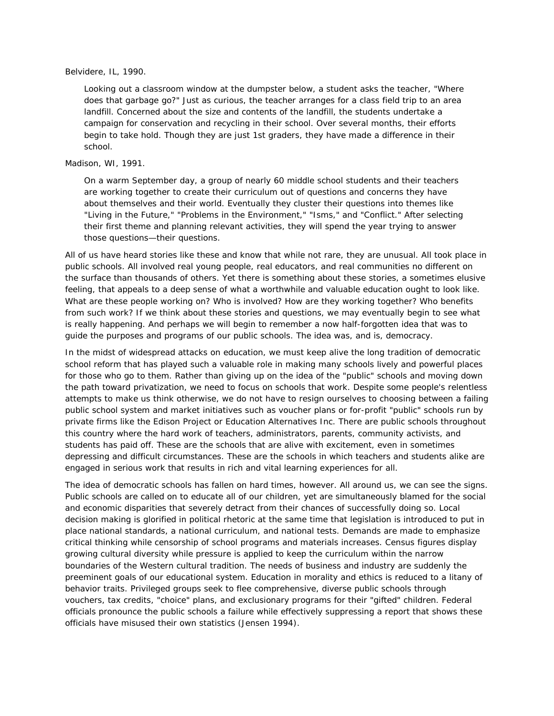#### Belvidere, IL, 1990.

Looking out a classroom window at the dumpster below, a student asks the teacher, "Where does that garbage go?" Just as curious, the teacher arranges for a class field trip to an area landfill. Concerned about the size and contents of the landfill, the students undertake a campaign for conservation and recycling in their school. Over several months, their efforts begin to take hold. Though they are just 1st graders, they have made a difference in their school.

#### Madison, WI, 1991.

On a warm September day, a group of nearly 60 middle school students and their teachers are working together to create their curriculum out of questions and concerns they have about themselves and their world. Eventually they cluster their questions into themes like "Living in the Future," "Problems in the Environment," "Isms," and "Conflict." After selecting their first theme and planning relevant activities, they will spend the year trying to answer those questions—their questions.

All of us have heard stories like these and know that while not rare, they are unusual. All took place in public schools. All involved real young people, real educators, and real communities no different on the surface than thousands of others. Yet there is something about these stories, a sometimes elusive feeling, that appeals to a deep sense of what a worthwhile and valuable education ought to look like. What are these people working on? Who is involved? How are they working together? Who benefits from such work? If we think about these stories and questions, we may eventually begin to see what is really happening. And perhaps we will begin to remember a now half-forgotten idea that was to guide the purposes and programs of our public schools. The idea was, and is, democracy.

In the midst of widespread attacks on education, we must keep alive the long tradition of democratic school reform that has played such a valuable role in making many schools lively and powerful places for those who go to them. Rather than giving up on the idea of the "public" schools and moving down the path toward privatization, we need to focus on schools that work. Despite some people's relentless attempts to make us think otherwise, we do not have to resign ourselves to choosing between a failing public school system and market initiatives such as voucher plans or for-profit "public" schools run by private firms like the Edison Project or Education Alternatives Inc. There are public schools throughout this country where the hard work of teachers, administrators, parents, community activists, and students has paid off. These are the schools that are alive with excitement, even in sometimes depressing and difficult circumstances. These are the schools in which teachers and students alike are engaged in serious work that results in rich and vital learning experiences for all.

The idea of democratic schools has fallen on hard times, however. All around us, we can see the signs. Public schools are called on to educate all of our children, yet are simultaneously blamed for the social and economic disparities that severely detract from their chances of successfully doing so. Local decision making is glorified in political rhetoric at the same time that legislation is introduced to put in place national standards, a national curriculum, and national tests. Demands are made to emphasize critical thinking while censorship of school programs and materials increases. Census figures display growing cultural diversity while pressure is applied to keep the curriculum within the narrow boundaries of the Western cultural tradition. The needs of business and industry are suddenly the preeminent goals of our educational system. Education in morality and ethics is reduced to a litany of behavior traits. Privileged groups seek to flee comprehensive, diverse public schools through vouchers, tax credits, "choice" plans, and exclusionary programs for their "gifted" children. Federal officials pronounce the public schools a failure while effectively suppressing a report that shows these officials have misused their own statistics (Jensen 1994).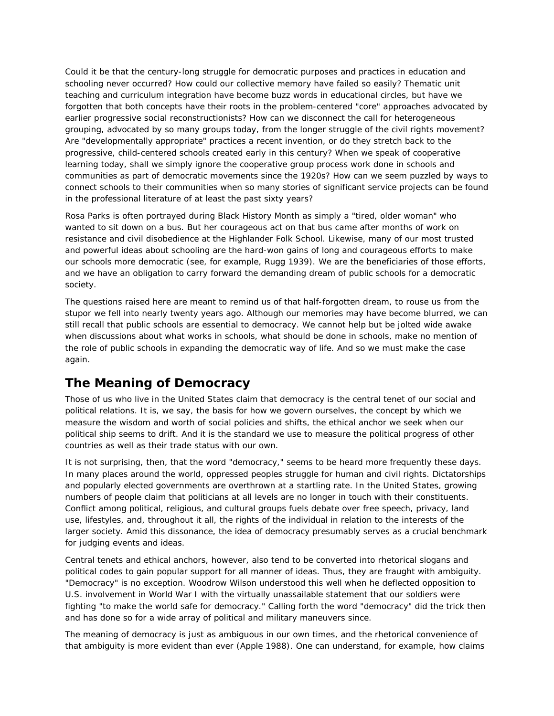Could it be that the century-long struggle for democratic purposes and practices in education and schooling never occurred? How could our collective memory have failed so easily? *Thematic unit teaching* and *curriculum integration* have become buzz words in educational circles, but have we forgotten that both concepts have their roots in the problem-centered "core" approaches advocated by earlier progressive social reconstructionists? How can we disconnect the call for heterogeneous grouping, advocated by so many groups today, from the longer struggle of the civil rights movement? Are "developmentally appropriate" practices a recent invention, or do they stretch back to the progressive, child-centered schools created early in this century? When we speak of cooperative learning today, shall we simply ignore the cooperative group process work done in schools and communities as part of democratic movements since the 1920s? How can we seem puzzled by ways to connect schools to their communities when so many stories of significant service projects can be found in the professional literature of at least the past sixty years?

Rosa Parks is often portrayed during Black History Month as simply a "tired, older woman" who wanted to sit down on a bus. But her courageous act on that bus came after months of work on resistance and civil disobedience at the Highlander Folk School. Likewise, many of our most trusted and powerful ideas about schooling are the hard-won gains of long and courageous efforts to make our schools more democratic (see, for example, Rugg 1939). We are the beneficiaries of those efforts, and we have an obligation to carry forward the demanding dream of public schools for a democratic society.

The questions raised here are meant to remind us of that half-forgotten dream, to rouse us from the stupor we fell into nearly twenty years ago. Although our memories may have become blurred, we can still recall that public schools are essential to democracy. We cannot help but be jolted wide awake when discussions about what works in schools, what should be done in schools, make no mention of the role of public schools in expanding the democratic way of life. And so we must make the case again.

# **The Meaning of Democracy**

Those of us who live in the United States claim that democracy is the central tenet of our social and political relations. It is, we say, the basis for how we govern ourselves, the concept by which we measure the wisdom and worth of social policies and shifts, the ethical anchor we seek when our political ship seems to drift. And it is the standard we use to measure the political progress of other countries as well as their trade status with our own.

It is not surprising, then, that the word "democracy," seems to be heard more frequently these days. In many places around the world, oppressed peoples struggle for human and civil rights. Dictatorships and popularly elected governments are overthrown at a startling rate. In the United States, growing numbers of people claim that politicians at all levels are no longer in touch with their constituents. Conflict among political, religious, and cultural groups fuels debate over free speech, privacy, land use, lifestyles, and, throughout it all, the rights of the individual in relation to the interests of the larger society. Amid this dissonance, the idea of democracy presumably serves as a crucial benchmark for judging events and ideas.

Central tenets and ethical anchors, however, also tend to be converted into rhetorical slogans and political codes to gain popular support for all manner of ideas. Thus, they are fraught with ambiguity. "Democracy" is no exception. Woodrow Wilson understood this well when he deflected opposition to U.S. involvement in World War I with the virtually unassailable statement that our soldiers were fighting "to make the world safe for democracy." Calling forth the word "democracy" did the trick then and has done so for a wide array of political and military maneuvers since.

The meaning of democracy is just as ambiguous in our own times, and the rhetorical convenience of that ambiguity is more evident than ever (Apple 1988). One can understand, for example, how claims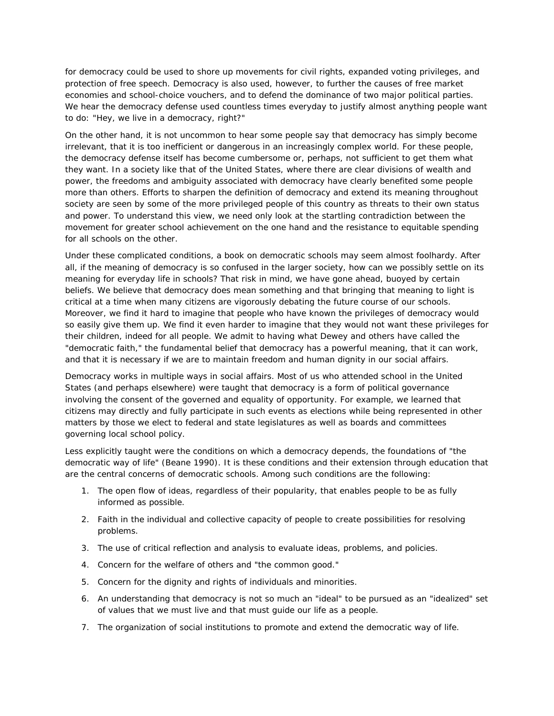for democracy could be used to shore up movements for civil rights, expanded voting privileges, and protection of free speech. Democracy is also used, however, to further the causes of free market economies and school-choice vouchers, and to defend the dominance of two major political parties. We hear the democracy defense used countless times everyday to justify almost anything people want to do: "Hey, we live in a democracy, right?"

On the other hand, it is not uncommon to hear some people say that democracy has simply become irrelevant, that it is too inefficient or dangerous in an increasingly complex world. For these people, the democracy defense itself has become cumbersome or, perhaps, not sufficient to get them what they want. In a society like that of the United States, where there are clear divisions of wealth and power, the freedoms and ambiguity associated with democracy have clearly benefited some people more than others. Efforts to sharpen the definition of democracy and extend its meaning throughout society are seen by some of the more privileged people of this country as threats to their own status and power. To understand this view, we need only look at the startling contradiction between the movement for greater school achievement on the one hand and the resistance to equitable spending for all schools on the other.

Under these complicated conditions, a book on democratic schools may seem almost foolhardy. After all, if the meaning of democracy is so confused in the larger society, how can we possibly settle on its meaning for everyday life in schools? That risk in mind, we have gone ahead, buoyed by certain beliefs. We believe that democracy does mean something and that bringing that meaning to light is critical at a time when many citizens are vigorously debating the future course of our schools. Moreover, we find it hard to imagine that people who have known the privileges of democracy would so easily give them up. We find it even harder to imagine that they would not want these privileges for their children, indeed for all people. We admit to having what Dewey and others have called the "democratic faith," the fundamental belief that democracy has a powerful meaning, that it can work, and that it is necessary if we are to maintain freedom and human dignity in our social affairs.

Democracy works in multiple ways in social affairs. Most of us who attended school in the United States (and perhaps elsewhere) were taught that democracy is a form of political governance involving the consent of the governed and equality of opportunity. For example, we learned that citizens may directly and fully participate in such events as elections while being represented in other matters by those we elect to federal and state legislatures as well as boards and committees governing local school policy.

Less explicitly taught were the conditions on which a democracy depends, the foundations of "the democratic way of life" (Beane 1990). It is these conditions and their extension through education that are the central concerns of democratic schools. Among such conditions are the following:

- 1. The open flow of ideas, regardless of their popularity, that enables people to be as fully informed as possible.
- 2. Faith in the individual and collective capacity of people to create possibilities for resolving problems.
- 3. The use of critical reflection and analysis to evaluate ideas, problems, and policies.
- 4. Concern for the welfare of others and "the common good."
- 5. Concern for the dignity and rights of individuals and minorities.
- 6. An understanding that democracy is not so much an "ideal" to be pursued as an "idealized" set of values that we must live and that must guide our life as a people.
- 7. The organization of social institutions to promote and extend the democratic way of life.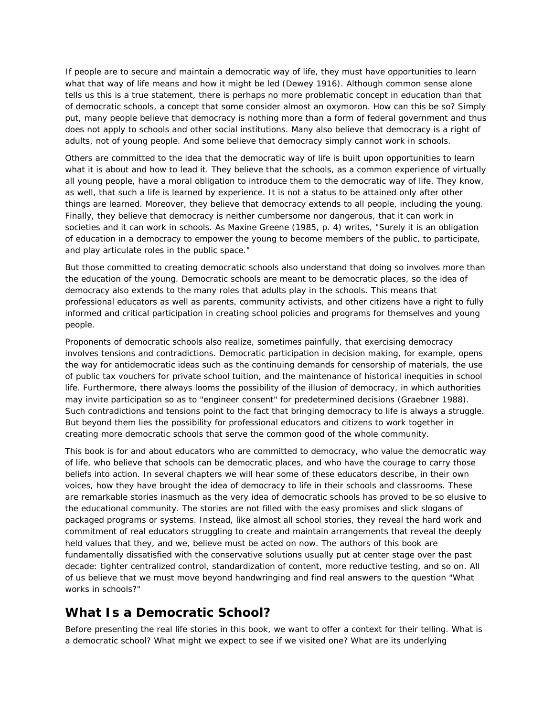If people are to secure and maintain a democratic way of life, they must have opportunities to learn what that way of life means and how it might be led (Dewey 1916). Although common sense alone tells us this is a true statement, there is perhaps no more problematic concept in education than that of democratic schools, a concept that some consider almost an oxymoron. How can this be so? Simply put, many people believe that democracy is nothing more than a form of federal government and thus does not apply to schools and other social institutions. Many also believe that democracy is a right of adults, not of young people. And some believe that democracy simply cannot work in schools.

Others are committed to the idea that the democratic way of life is built upon opportunities to learn what it is about and how to lead it. They believe that the schools, as a common experience of virtually all young people, have a moral obligation to introduce them to the democratic way of life. They know, as well, that such a life is learned by experience. It is not a status to be attained only after other things are learned. Moreover, they believe that democracy extends to all people, including the young. Finally, they believe that democracy is neither cumbersome nor dangerous, that it can work in societies and it can work in schools. As Maxine Greene (1985, p. 4) writes, "Surely it is an obligation of education in a democracy to empower the young to become members of the public, to participate, and play articulate roles in the public space."

But those committed to creating democratic schools also understand that doing so involves more than the education of the young. Democratic schools are meant to be democratic places, so the idea of democracy also extends to the many roles that adults play in the schools. This means that professional educators as well as parents, community activists, and other citizens have a right to fully informed and critical participation in creating school policies and programs for themselves and young people.

Proponents of democratic schools also realize, sometimes painfully, that exercising democracy involves tensions and contradictions. Democratic participation in decision making, for example, opens the way for antidemocratic ideas such as the continuing demands for censorship of materials, the use of public tax vouchers for private school tuition, and the maintenance of historical inequities in school life. Furthermore, there always looms the possibility of the illusion of democracy, in which authorities may invite participation so as to "engineer consent" for predetermined decisions (Graebner 1988). Such contradictions and tensions point to the fact that bringing democracy to life is always a struggle. But beyond them lies the possibility for professional educators and citizens to work together in creating more democratic schools that serve the common good of the whole community.

This book is for and about educators who are committed to democracy, who value the democratic way of life, who believe that schools can be democratic places, and who have the courage to carry those beliefs into action. In several chapters we will hear some of these educators describe, in their own voices, how they have brought the idea of democracy to life in their schools and classrooms. These are remarkable stories inasmuch as the very idea of democratic schools has proved to be so elusive to the educational community. The stories are not filled with the easy promises and slick slogans of packaged programs or systems. Instead, like almost all school stories, they reveal the hard work and commitment of real educators struggling to create and maintain arrangements that reveal the deeply held values that they, and we, believe must be acted on now. The authors of this book are fundamentally dissatisfied with the conservative solutions usually put at center stage over the past decade: tighter centralized control, standardization of content, more reductive testing, and so on. All of us believe that we must move beyond handwringing and find real answers to the question "What works in schools?"

# **What Is a Democratic School?**

Before presenting the real life stories in this book, we want to offer a context for their telling. What is a democratic school? What might we expect to see if we visited one? What are its underlying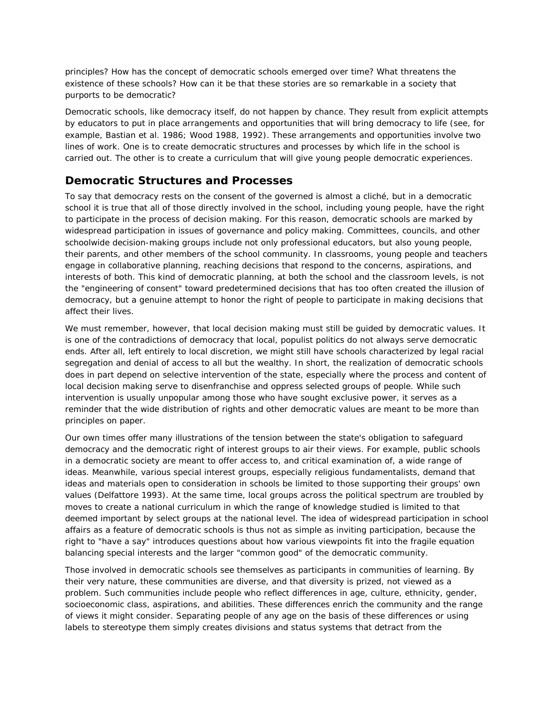principles? How has the concept of democratic schools emerged over time? What threatens the existence of these schools? How can it be that these stories are so remarkable in a society that purports to be democratic?

Democratic schools, like democracy itself, do not happen by chance. They result from explicit attempts by educators to put in place arrangements and opportunities that will bring democracy to life (see, for example, Bastian et al. 1986; Wood 1988, 1992). These arrangements and opportunities involve two lines of work. One is to create democratic structures and processes by which life in the school is carried out. The other is to create a curriculum that will give young people democratic experiences.

## **Democratic Structures and Processes**

To say that democracy rests on the consent of the governed is almost a cliché, but in a democratic school it is true that all of those directly involved in the school, including young people, have the right to participate in the process of decision making. For this reason, democratic schools are marked by widespread participation in issues of governance and policy making. Committees, councils, and other schoolwide decision-making groups include not only professional educators, but also young people, their parents, and other members of the school community. In classrooms, young people and teachers engage in collaborative planning, reaching decisions that respond to the concerns, aspirations, and interests of both. This kind of democratic planning, at both the school and the classroom levels, is not the "engineering of consent" toward predetermined decisions that has too often created the illusion of democracy, but a genuine attempt to honor the right of people to participate in making decisions that affect their lives.

We must remember, however, that local decision making must still be guided by democratic values. It is one of the contradictions of democracy that local, populist politics do not always serve democratic ends. After all, left entirely to local discretion, we might still have schools characterized by legal racial segregation and denial of access to all but the wealthy. In short, the realization of democratic schools does in part depend on selective intervention of the state, especially where the process and content of local decision making serve to disenfranchise and oppress selected groups of people. While such intervention is usually unpopular among those who have sought exclusive power, it serves as a reminder that the wide distribution of rights and other democratic values are meant to be more than principles on paper.

Our own times offer many illustrations of the tension between the state's obligation to safeguard democracy and the democratic right of interest groups to air their views. For example, public schools in a democratic society are meant to offer access to, and critical examination of, a wide range of ideas. Meanwhile, various special interest groups, especially religious fundamentalists, demand that ideas and materials open to consideration in schools be limited to those supporting their groups' own values (Delfattore 1993). At the same time, local groups across the political spectrum are troubled by moves to create a national curriculum in which the range of knowledge studied is limited to that deemed important by select groups at the national level. The idea of widespread participation in school affairs as a feature of democratic schools is thus not as simple as inviting participation, because the right to "have a say" introduces questions about how various viewpoints fit into the fragile equation balancing special interests and the larger "common good" of the democratic community.

Those involved in democratic schools see themselves as participants in communities of learning. By their very nature, these communities are diverse, and that diversity is prized, not viewed as a problem. Such communities include people who reflect differences in age, culture, ethnicity, gender, socioeconomic class, aspirations, and abilities. These differences enrich the community and the range of views it might consider. Separating people of any age on the basis of these differences or using labels to stereotype them simply creates divisions and status systems that detract from the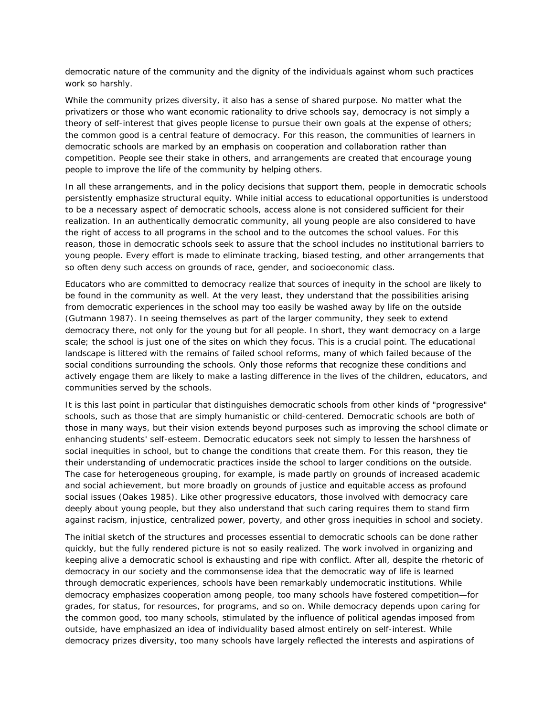democratic nature of the community and the dignity of the individuals against whom such practices work so harshly.

While the community prizes diversity, it also has a sense of shared purpose. No matter what the privatizers or those who want economic rationality to drive schools say, democracy is not simply a theory of self-interest that gives people license to pursue their own goals at the expense of others; the common good is a central feature of democracy. For this reason, the communities of learners in democratic schools are marked by an emphasis on cooperation and collaboration rather than competition. People see their stake in others, and arrangements are created that encourage young people to improve the life of the community by helping others.

In all these arrangements, and in the policy decisions that support them, people in democratic schools persistently emphasize structural equity. While initial access to educational opportunities is understood to be a necessary aspect of democratic schools, access alone is not considered sufficient for their realization. In an authentically democratic community, all young people are also considered to have the right of access to all programs in the school and to the outcomes the school values. For this reason, those in democratic schools seek to assure that the school includes no institutional barriers to young people. Every effort is made to eliminate tracking, biased testing, and other arrangements that so often deny such access on grounds of race, gender, and socioeconomic class.

Educators who are committed to democracy realize that sources of inequity in the school are likely to be found in the community as well. At the very least, they understand that the possibilities arising from democratic experiences in the school may too easily be washed away by life on the outside (Gutmann 1987). In seeing themselves as part of the larger community, they seek to extend democracy there, not only for the young but for all people. In short, they want democracy on a large scale; the school is just one of the sites on which they focus. This is a crucial point. The educational landscape is littered with the remains of failed school reforms, many of which failed because of the social conditions surrounding the schools. Only those reforms that recognize these conditions and actively engage them are likely to make a lasting difference in the lives of the children, educators, and communities served by the schools.

It is this last point in particular that distinguishes democratic schools from other kinds of "progressive" schools, such as those that are simply humanistic or child-centered. Democratic schools are both of those in many ways, but their vision extends beyond purposes such as improving the school climate or enhancing students' self-esteem. Democratic educators seek not simply to lessen the harshness of social inequities in school, but to change the conditions that create them. For this reason, they tie their understanding of undemocratic practices inside the school to larger conditions on the outside. The case for heterogeneous grouping, for example, is made partly on grounds of increased academic and social achievement, but more broadly on grounds of justice and equitable access as profound social issues (Oakes 1985). Like other progressive educators, those involved with democracy care deeply about young people, but they also understand that such caring requires them to stand firm against racism, injustice, centralized power, poverty, and other gross inequities in school and society.

The initial sketch of the structures and processes essential to democratic schools can be done rather quickly, but the fully rendered picture is not so easily realized. The work involved in organizing and keeping alive a democratic school is exhausting and ripe with conflict. After all, despite the rhetoric of democracy in our society and the commonsense idea that the democratic way of life is learned through democratic experiences, schools have been remarkably undemocratic institutions. While democracy emphasizes cooperation among people, too many schools have fostered competition—for grades, for status, for resources, for programs, and so on. While democracy depends upon caring for the common good, too many schools, stimulated by the influence of political agendas imposed from outside, have emphasized an idea of individuality based almost entirely on self-interest. While democracy prizes diversity, too many schools have largely reflected the interests and aspirations of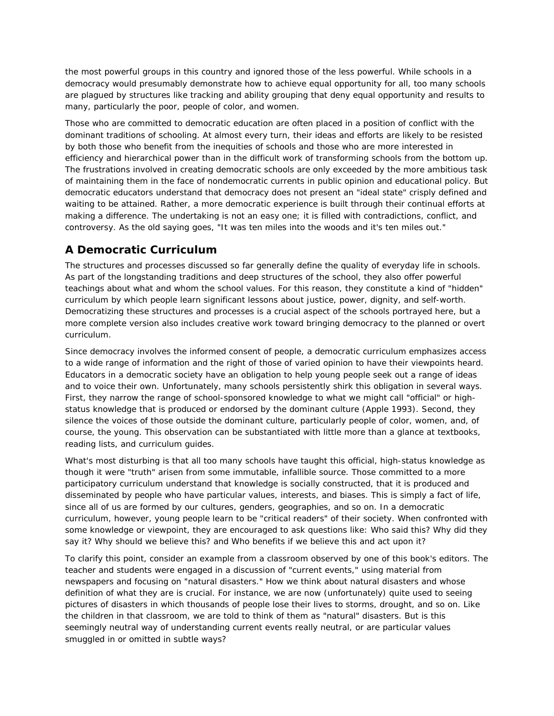the most powerful groups in this country and ignored those of the less powerful. While schools in a democracy would presumably demonstrate how to achieve equal opportunity for all, too many schools are plagued by structures like tracking and ability grouping that deny equal opportunity and results to many, particularly the poor, people of color, and women.

Those who are committed to democratic education are often placed in a position of conflict with the dominant traditions of schooling. At almost every turn, their ideas and efforts are likely to be resisted by both those who benefit from the inequities of schools and those who are more interested in efficiency and hierarchical power than in the difficult work of transforming schools from the bottom up. The frustrations involved in creating democratic schools are only exceeded by the more ambitious task of maintaining them in the face of nondemocratic currents in public opinion and educational policy. But democratic educators understand that democracy does not present an "ideal state" crisply defined and waiting to be attained. Rather, a more democratic experience is built through their continual efforts at making a difference. The undertaking is not an easy one; it is filled with contradictions, conflict, and controversy. As the old saying goes, "It was ten miles into the woods and it's ten miles out."

## **A Democratic Curriculum**

The structures and processes discussed so far generally define the quality of everyday life in schools. As part of the longstanding traditions and deep structures of the school, they also offer powerful teachings about what and whom the school values. For this reason, they constitute a kind of "hidden" curriculum by which people learn significant lessons about justice, power, dignity, and self-worth. Democratizing these structures and processes is a crucial aspect of the schools portrayed here, but a more complete version also includes creative work toward bringing democracy to the planned or overt curriculum.

Since democracy involves the informed consent of people, a democratic curriculum emphasizes access to a wide range of information and the right of those of varied opinion to have their viewpoints heard. Educators in a democratic society have an obligation to help young people seek out a range of ideas and to voice their own. Unfortunately, many schools persistently shirk this obligation in several ways. First, they narrow the range of school-sponsored knowledge to what we might call "official" or highstatus knowledge that is produced or endorsed by the dominant culture (Apple 1993). Second, they silence the voices of those outside the dominant culture, particularly people of color, women, and, of course, the young. This observation can be substantiated with little more than a glance at textbooks, reading lists, and curriculum guides.

What's most disturbing is that all too many schools have taught this official, high-status knowledge as though it were "truth" arisen from some immutable, infallible source. Those committed to a more participatory curriculum understand that knowledge is socially constructed, that it is produced and disseminated by people who have particular values, interests, and biases. This is simply a fact of life, since all of us are formed by our cultures, genders, geographies, and so on. In a democratic curriculum, however, young people learn to be "critical readers" of their society. When confronted with some knowledge or viewpoint, they are encouraged to ask questions like: Who said this? Why did they say it? Why should we believe this? and Who benefits if we believe this and act upon it?

To clarify this point, consider an example from a classroom observed by one of this book's editors. The teacher and students were engaged in a discussion of "current events," using material from newspapers and focusing on "natural disasters." How we think about natural disasters and whose definition of what they are is crucial. For instance, we are now (unfortunately) quite used to seeing pictures of disasters in which thousands of people lose their lives to storms, drought, and so on. Like the children in that classroom, we are told to think of them as "natural" disasters. But is this seemingly neutral way of understanding current events really neutral, or are particular values smuggled in or omitted in subtle ways?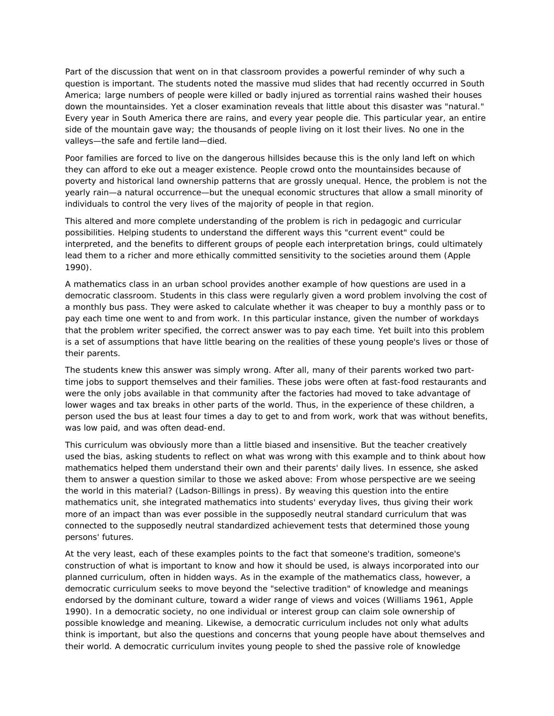Part of the discussion that went on in that classroom provides a powerful reminder of why such a question is important. The students noted the massive mud slides that had recently occurred in South America; large numbers of people were killed or badly injured as torrential rains washed their houses down the mountainsides. Yet a closer examination reveals that little about this disaster was "natural." Every year in South America there are rains, and every year people die. This particular year, an entire side of the mountain gave way; the thousands of people living on it lost their lives. No one in the valleys—the safe and fertile land—died.

Poor families are forced to live on the dangerous hillsides because this is the only land left on which they can afford to eke out a meager existence. People crowd onto the mountainsides because of poverty and historical land ownership patterns that are grossly unequal. Hence, the problem is not the yearly rain—a natural occurrence—but the unequal economic structures that allow a small minority of individuals to control the very lives of the majority of people in that region.

This altered and more complete understanding of the problem is rich in pedagogic and curricular possibilities. Helping students to understand the different ways this "current event" could be interpreted, and the benefits to different groups of people each interpretation brings, could ultimately lead them to a richer and more ethically committed sensitivity to the societies around them (Apple 1990).

A mathematics class in an urban school provides another example of how questions are used in a democratic classroom. Students in this class were regularly given a word problem involving the cost of a monthly bus pass. They were asked to calculate whether it was cheaper to buy a monthly pass or to pay each time one went to and from work. In this particular instance, given the number of workdays that the problem writer specified, the correct answer was to pay each time. Yet built into this problem is a set of assumptions that have little bearing on the realities of these young people's lives or those of their parents.

The students knew this answer was simply wrong. After all, many of their parents worked two parttime jobs to support themselves and their families. These jobs were often at fast-food restaurants and were the only jobs available in that community after the factories had moved to take advantage of lower wages and tax breaks in other parts of the world. Thus, in the experience of these children, a person used the bus at least four times a day to get to and from work, work that was without benefits, was low paid, and was often dead-end.

This curriculum was obviously more than a little biased and insensitive. But the teacher creatively used the bias, asking students to reflect on what was wrong with this example and to think about how mathematics helped them understand their own and their parents' daily lives. In essence, she asked them to answer a question similar to those we asked above: *From whose perspective are we seeing the world in this material?* (Ladson-Billings in press). By weaving this question into the entire mathematics unit, she integrated mathematics into students' everyday lives, thus giving their work more of an impact than was ever possible in the supposedly neutral standard curriculum that was connected to the supposedly neutral standardized achievement tests that determined those young persons' futures.

At the very least, each of these examples points to the fact that someone's tradition, someone's construction of what is important to know and how it should be used, is always incorporated into our planned curriculum, often in hidden ways. As in the example of the mathematics class, however, a democratic curriculum seeks to move beyond the "selective tradition" of knowledge and meanings endorsed by the dominant culture, toward a wider range of views and voices (Williams 1961, Apple 1990). In a democratic society, no one individual or interest group can claim sole ownership of possible knowledge and meaning. Likewise, a democratic curriculum includes not only what adults think is important, but also the questions and concerns that young people have about themselves and their world. A democratic curriculum invites young people to shed the passive role of knowledge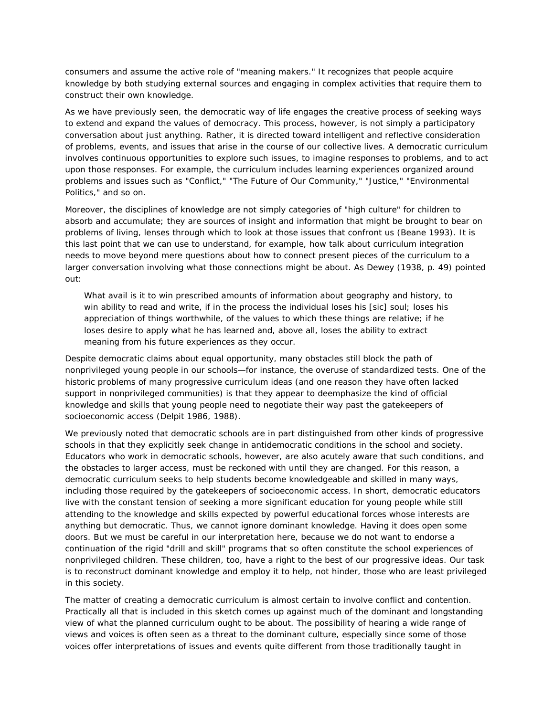consumers and assume the active role of "meaning makers." It recognizes that people acquire knowledge by both studying external sources and engaging in complex activities that require them to construct their own knowledge.

As we have previously seen, the democratic way of life engages the creative process of seeking ways to extend and expand the values of democracy. This process, however, is not simply a participatory conversation about just anything. Rather, it is directed toward intelligent and reflective consideration of problems, events, and issues that arise in the course of our collective lives. A democratic curriculum involves continuous opportunities to explore such issues, to imagine responses to problems, and to act upon those responses. For example, the curriculum includes learning experiences organized around problems and issues such as "Conflict," "The Future of Our Community," "Justice," "Environmental Politics," and so on.

Moreover, the disciplines of knowledge are not simply categories of "high culture" for children to absorb and accumulate; they are sources of insight and information that might be brought to bear on problems of living, lenses through which to look at those issues that confront us (Beane 1993). It is this last point that we can use to understand, for example, how talk about curriculum integration needs to move beyond mere questions about how to connect present pieces of the curriculum to a larger conversation involving what those connections might be about. As Dewey (1938, p. 49) pointed out:

What avail is it to win prescribed amounts of information about geography and history, to win ability to read and write, if in the process the individual loses his [sic] soul; loses his appreciation of things worthwhile, of the values to which these things are relative; if he loses desire to apply what he has learned and, above all, loses the ability to extract meaning from his future experiences as they occur.

Despite democratic claims about equal opportunity, many obstacles still block the path of nonprivileged young people in our schools—for instance, the overuse of standardized tests. One of the historic problems of many progressive curriculum ideas (and one reason they have often lacked support in nonprivileged communities) is that they appear to deemphasize the kind of official knowledge and skills that young people need to negotiate their way past the gatekeepers of socioeconomic access (Delpit 1986, 1988).

We previously noted that democratic schools are in part distinguished from other kinds of progressive schools in that they explicitly seek change in antidemocratic conditions in the school and society. Educators who work in democratic schools, however, are also acutely aware that such conditions, and the obstacles to larger access, must be reckoned with until they are changed. For this reason, a democratic curriculum seeks to help students become knowledgeable and skilled in many ways, including those required by the gatekeepers of socioeconomic access. In short, democratic educators live with the constant tension of seeking a more significant education for young people while still attending to the knowledge and skills expected by powerful educational forces whose interests are anything but democratic. Thus, we cannot ignore dominant knowledge. Having it does open some doors. But we must be careful in our interpretation here, because we do not want to endorse a continuation of the rigid "drill and skill" programs that so often constitute the school experiences of nonprivileged children. These children, too, have a right to the best of our progressive ideas. Our task is to reconstruct dominant knowledge and employ it to help, not hinder, those who are least privileged in this society.

The matter of creating a democratic curriculum is almost certain to involve conflict and contention. Practically all that is included in this sketch comes up against much of the dominant and longstanding view of what the planned curriculum ought to be about. The possibility of hearing a wide range of views and voices is often seen as a threat to the dominant culture, especially since some of those voices offer interpretations of issues and events quite different from those traditionally taught in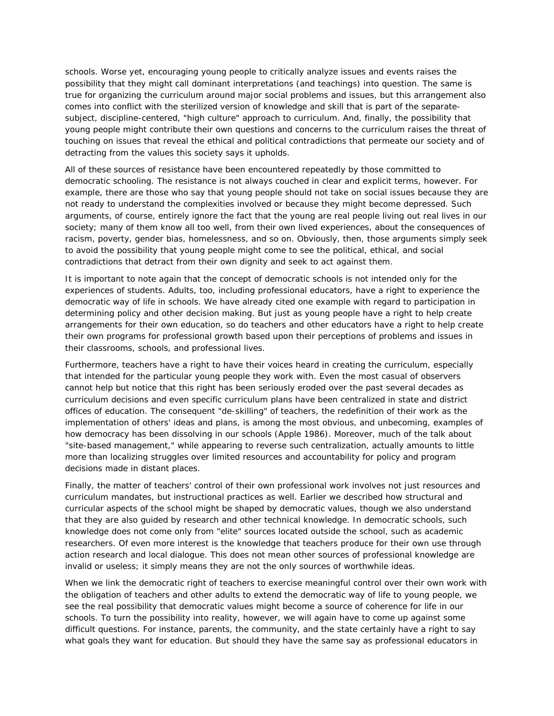schools. Worse yet, encouraging young people to critically analyze issues and events raises the possibility that they might call dominant interpretations (and teachings) into question. The same is true for organizing the curriculum around major social problems and issues, but this arrangement also comes into conflict with the sterilized version of knowledge and skill that is part of the separatesubject, discipline-centered, "high culture" approach to curriculum. And, finally, the possibility that young people might contribute their own questions and concerns to the curriculum raises the threat of touching on issues that reveal the ethical and political contradictions that permeate our society and of detracting from the values this society says it upholds.

All of these sources of resistance have been encountered repeatedly by those committed to democratic schooling. The resistance is not always couched in clear and explicit terms, however. For example, there are those who say that young people should not take on social issues because they are not ready to understand the complexities involved or because they might become depressed. Such arguments, of course, entirely ignore the fact that the young are real people living out real lives in our society; many of them know all too well, from their own lived experiences, about the consequences of racism, poverty, gender bias, homelessness, and so on. Obviously, then, those arguments simply seek to avoid the possibility that young people might come to see the political, ethical, and social contradictions that detract from their own dignity and seek to act against them.

It is important to note again that the concept of democratic schools is not intended only for the experiences of students. Adults, too, including professional educators, have a right to experience the democratic way of life in schools. We have already cited one example with regard to participation in determining policy and other decision making. But just as young people have a right to help create arrangements for their own education, so do teachers and other educators have a right to help create their own programs for professional growth based upon their perceptions of problems and issues in their classrooms, schools, and professional lives.

Furthermore, teachers have a right to have their voices heard in creating the curriculum, especially that intended for the particular young people they work with. Even the most casual of observers cannot help but notice that this right has been seriously eroded over the past several decades as curriculum decisions and even specific curriculum plans have been centralized in state and district offices of education. The consequent "de-skilling" of teachers, the redefinition of their work as the implementation of others' ideas and plans, is among the most obvious, and unbecoming, examples of how democracy has been dissolving in our schools (Apple 1986). Moreover, much of the talk about "site-based management," while appearing to reverse such centralization, actually amounts to little more than localizing struggles over limited resources and accountability for policy and program decisions made in distant places.

Finally, the matter of teachers' control of their own professional work involves not just resources and curriculum mandates, but instructional practices as well. Earlier we described how structural and curricular aspects of the school might be shaped by democratic values, though we also understand that they are also guided by research and other technical knowledge. In democratic schools, such knowledge does not come only from "elite" sources located outside the school, such as academic researchers. Of even more interest is the knowledge that teachers produce for their own use through action research and local dialogue. This does not mean other sources of professional knowledge are invalid or useless; it simply means they are not the only sources of worthwhile ideas.

When we link the democratic right of teachers to exercise meaningful control over their own work with the obligation of teachers and other adults to extend the democratic way of life to young people, we see the real possibility that democratic values might become a source of coherence for life in our schools. To turn the possibility into reality, however, we will again have to come up against some difficult questions. For instance, parents, the community, and the state certainly have a right to say what goals they want for education. But should they have the same say as professional educators in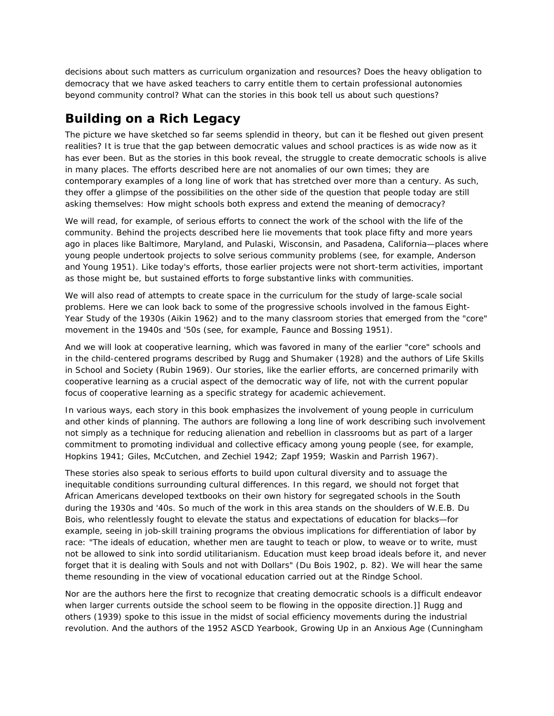decisions about such matters as curriculum organization and resources? Does the heavy obligation to democracy that we have asked teachers to carry entitle them to certain professional autonomies beyond community control? What can the stories in this book tell us about such questions?

# **Building on a Rich Legacy**

The picture we have sketched so far seems splendid in theory, but can it be fleshed out given present realities? It is true that the gap between democratic values and school practices is as wide now as it has ever been. But as the stories in this book reveal, the struggle to create democratic schools is alive in many places. The efforts described here are not anomalies of our own times; they are contemporary examples of a long line of work that has stretched over more than a century. As such, they offer a glimpse of the possibilities on the other side of the question that people today are still asking themselves: *How might schools both express and extend the meaning of democracy?*

We will read, for example, of serious efforts to connect the work of the school with the life of the community. Behind the projects described here lie movements that took place fifty and more years ago in places like Baltimore, Maryland, and Pulaski, Wisconsin, and Pasadena, California—places where young people undertook projects to solve serious community problems (see, for example, Anderson and Young 1951). Like today's efforts, those earlier projects were not short-term activities, important as those might be, but sustained efforts to forge substantive links with communities.

We will also read of attempts to create space in the curriculum for the study of large-scale social problems. Here we can look back to some of the progressive schools involved in the famous Eight-Year Study of the 1930s (Aikin 1962) and to the many classroom stories that emerged from the "core" movement in the 1940s and '50s (see, for example, Faunce and Bossing 1951).

And we will look at cooperative learning, which was favored in many of the earlier "core" schools and in the child-centered programs described by Rugg and Shumaker (1928) and the authors of *Life Skills in School and Society* (Rubin 1969). Our stories, like the earlier efforts, are concerned primarily with cooperative learning as a crucial aspect of the democratic way of life, not with the current popular focus of cooperative learning as a specific strategy for academic achievement.

In various ways, each story in this book emphasizes the involvement of young people in curriculum and other kinds of planning. The authors are following a long line of work describing such involvement not simply as a technique for reducing alienation and rebellion in classrooms but as part of a larger commitment to promoting individual and collective efficacy among young people (see, for example, Hopkins 1941; Giles, McCutchen, and Zechiel 1942; Zapf 1959; Waskin and Parrish 1967).

These stories also speak to serious efforts to build upon cultural diversity and to assuage the inequitable conditions surrounding cultural differences. In this regard, we should not forget that African Americans developed textbooks on their own history for segregated schools in the South during the 1930s and '40s. So much of the work in this area stands on the shoulders of W.E.B. Du Bois, who relentlessly fought to elevate the status and expectations of education for blacks—for example, seeing in job-skill training programs the obvious implications for differentiation of labor by race: "The ideals of education, whether men are taught to teach or plow, to weave or to write, must not be allowed to sink into sordid utilitarianism. Education must keep broad ideals before it, and never forget that it is dealing with Souls and not with Dollars" (Du Bois 1902, p. 82). We will hear the same theme resounding in the view of vocational education carried out at the Rindge School.

Nor are the authors here the first to recognize that creating democratic schools is a difficult endeavor when larger currents outside the school seem to be flowing in the opposite direction.]] Rugg and others (1939) spoke to this issue in the midst of social efficiency movements during the industrial revolution. And the authors of the 1952 ASCD Yearbook, *Growing Up in an Anxious Age* (Cunningham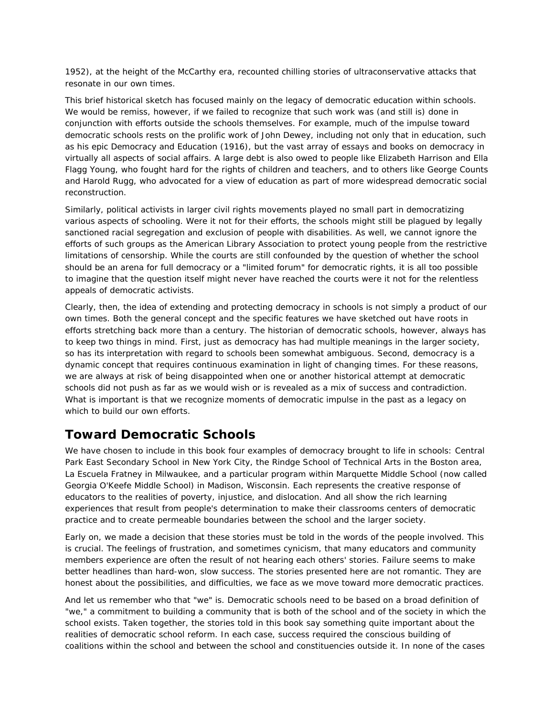1952), at the height of the McCarthy era, recounted chilling stories of ultraconservative attacks that resonate in our own times.

This brief historical sketch has focused mainly on the legacy of democratic education within schools. We would be remiss, however, if we failed to recognize that such work was (and still is) done in conjunction with efforts outside the schools themselves. For example, much of the impulse toward democratic schools rests on the prolific work of John Dewey, including not only that in education, such as his epic *Democracy and Education* (1916), but the vast array of essays and books on democracy in virtually all aspects of social affairs. A large debt is also owed to people like Elizabeth Harrison and Ella Flagg Young, who fought hard for the rights of children and teachers, and to others like George Counts and Harold Rugg, who advocated for a view of education as part of more widespread democratic social reconstruction.

Similarly, political activists in larger civil rights movements played no small part in democratizing various aspects of schooling. Were it not for their efforts, the schools might still be plagued by legally sanctioned racial segregation and exclusion of people with disabilities. As well, we cannot ignore the efforts of such groups as the American Library Association to protect young people from the restrictive limitations of censorship. While the courts are still confounded by the question of whether the school should be an arena for full democracy or a "limited forum" for democratic rights, it is all too possible to imagine that the question itself might never have reached the courts were it not for the relentless appeals of democratic activists.

Clearly, then, the idea of extending and protecting democracy in schools is not simply a product of our own times. Both the general concept and the specific features we have sketched out have roots in efforts stretching back more than a century. The historian of democratic schools, however, always has to keep two things in mind. First, just as democracy has had multiple meanings in the larger society, so has its interpretation with regard to schools been somewhat ambiguous. Second, democracy is a dynamic concept that requires continuous examination in light of changing times. For these reasons, we are always at risk of being disappointed when one or another historical attempt at democratic schools did not push as far as we would wish or is revealed as a mix of success and contradiction. What is important is that we recognize moments of democratic impulse in the past as a legacy on which to build our own efforts.

# **Toward Democratic Schools**

We have chosen to include in this book four examples of democracy brought to life in schools: Central Park East Secondary School in New York City, the Rindge School of Technical Arts in the Boston area, La Escuela Fratney in Milwaukee, and a particular program within Marquette Middle School (now called Georgia O'Keefe Middle School) in Madison, Wisconsin. Each represents the creative response of educators to the realities of poverty, injustice, and dislocation. And all show the rich learning experiences that result from people's determination to make their classrooms centers of democratic practice and to create permeable boundaries between the school and the larger society.

Early on, we made a decision that these stories must be told in the words of the people involved. This is crucial. The feelings of frustration, and sometimes cynicism, that many educators and community members experience are often the result of not hearing each others' stories. Failure seems to make better headlines than hard-won, slow success. The stories presented here are not romantic. They are honest about the possibilities, and difficulties, we face as we move toward more democratic practices.

And let us remember who that "we" is. Democratic schools need to be based on a broad definition of "we," a commitment to building a community that is both of the school and of the society in which the school exists. Taken together, the stories told in this book say something quite important about the realities of democratic school reform. In each case, success required the conscious building of coalitions within the school and between the school and constituencies outside it. In none of the cases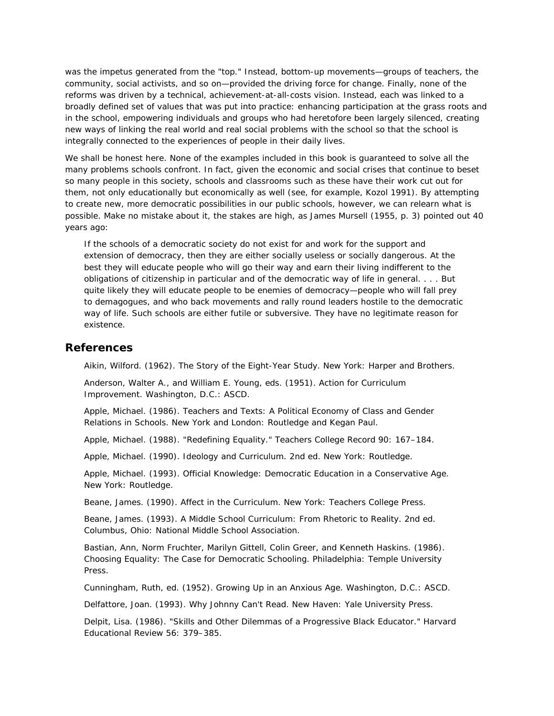was the impetus generated from the "top." Instead, bottom-up movements—groups of teachers, the community, social activists, and so on—provided the driving force for change. Finally, none of the reforms was driven by a technical, achievement-at-all-costs vision. Instead, each was linked to a broadly defined set of values that was put into practice: enhancing participation at the grass roots and in the school, empowering individuals and groups who had heretofore been largely silenced, creating new ways of linking the real world and real social problems with the school so that the school is integrally connected to the experiences of people in their daily lives.

We shall be honest here. None of the examples included in this book is guaranteed to solve all the many problems schools confront. In fact, given the economic and social crises that continue to beset so many people in this society, schools and classrooms such as these have their work cut out for them, not only educationally but economically as well (see, for example, Kozol 1991). By attempting to create new, more democratic possibilities in our public schools, however, we can relearn what is possible. Make no mistake about it, the stakes are high, as James Mursell (1955, p. 3) pointed out 40 years ago:

If the schools of a democratic society do not exist for and work for the support and extension of democracy, then they are either socially useless or socially dangerous. At the best they will educate people who will go their way and earn their living indifferent to the obligations of citizenship in particular and of the democratic way of life in general. . . . But quite likely they will educate people to be enemies of democracy—people who will fall prey to demagogues, and who back movements and rally round leaders hostile to the democratic way of life. Such schools are either futile or subversive. They have no legitimate reason for existence.

#### **References**

Aikin, Wilford. (1962). *The Story of the Eight-Year Study*. New York: Harper and Brothers.

Anderson, Walter A., and William E. Young, eds. (1951). *Action for Curriculum Improvement*. Washington, D.C.: ASCD.

Apple, Michael. (1986). *Teachers and Texts: A Political Economy of Class and Gender Relations in Schools*. New York and London: Routledge and Kegan Paul.

Apple, Michael. (1988). "Redefining Equality." *Teachers College Record* 90: 167–184.

Apple, Michael. (1990). *Ideology and Curriculum*. 2nd ed. New York: Routledge.

Apple, Michael. (1993). *Official Knowledge: Democratic Education in a Conservative Age*. New York: Routledge.

Beane, James. (1990). *Affect in the Curriculum*. New York: Teachers College Press.

Beane, James. (1993). *A Middle School Curriculum: From Rhetoric to Reality*. 2nd ed. Columbus, Ohio: National Middle School Association.

Bastian, Ann, Norm Fruchter, Marilyn Gittell, Colin Greer, and Kenneth Haskins. (1986). *Choosing Equality: The Case for Democratic Schooling*. Philadelphia: Temple University Press.

Cunningham, Ruth, ed. (1952). *Growing Up in an Anxious Age*. Washington, D.C.: ASCD.

Delfattore, Joan. (1993). *Why Johnny Can't Read*. New Haven: Yale University Press.

Delpit, Lisa. (1986). "Skills and Other Dilemmas of a Progressive Black Educator." *Harvard Educational Review* 56: 379–385.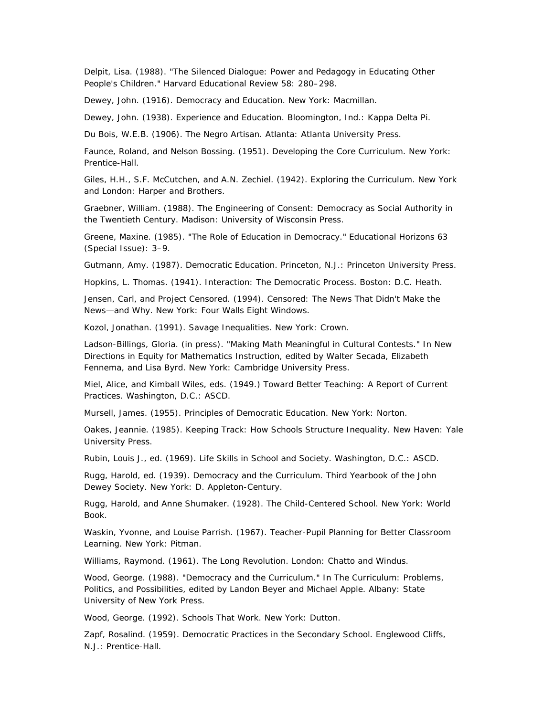Delpit, Lisa. (1988). "The Silenced Dialogue: Power and Pedagogy in Educating Other People's Children." *Harvard Educational Review* 58: 280–298.

Dewey, John. (1916). *Democracy and Education*. New York: Macmillan.

Dewey, John. (1938). *Experience and Education*. Bloomington, Ind.: Kappa Delta Pi.

Du Bois, W.E.B. (1906). *The Negro Artisan*. Atlanta: Atlanta University Press.

Faunce, Roland, and Nelson Bossing. (1951). *Developing the Core Curriculum*. New York: Prentice-Hall.

Giles, H.H., S.F. McCutchen, and A.N. Zechiel. (1942). *Exploring the Curriculum*. New York and London: Harper and Brothers.

Graebner, William. (1988). *The Engineering of Consent: Democracy as Social Authority in the Twentieth Century*. Madison: University of Wisconsin Press.

Greene, Maxine. (1985). "The Role of Education in Democracy." *Educational Horizons* 63 (Special Issue): 3–9.

Gutmann, Amy. (1987). *Democratic Education*. Princeton, N.J.: Princeton University Press.

Hopkins, L. Thomas. (1941). *Interaction: The Democratic Process*. Boston: D.C. Heath.

Jensen, Carl, and Project Censored. (1994). *Censored: The News That Didn't Make the News—and Why*. New York: Four Walls Eight Windows.

Kozol, Jonathan. (1991). *Savage Inequalities*. New York: Crown.

Ladson-Billings, Gloria. (in press). "Making Math Meaningful in Cultural Contests." In *New Directions in Equity for Mathematics Instruction*, edited by Walter Secada, Elizabeth Fennema, and Lisa Byrd. New York: Cambridge University Press.

Miel, Alice, and Kimball Wiles, eds. (1949.) *Toward Better Teaching: A Report of Current Practices*. Washington, D.C.: ASCD.

Mursell, James. (1955). *Principles of Democratic Education*. New York: Norton.

Oakes, Jeannie. (1985). *Keeping Track: How Schools Structure Inequality*. New Haven: Yale University Press.

Rubin, Louis J., ed. (1969). *Life Skills in School and Society*. Washington, D.C.: ASCD.

Rugg, Harold, ed. (1939). *Democracy and the Curriculum*. Third Yearbook of the John Dewey Society. New York: D. Appleton-Century.

Rugg, Harold, and Anne Shumaker. (1928). *The Child-Centered School*. New York: World Book.

Waskin, Yvonne, and Louise Parrish. (1967). *Teacher-Pupil Planning for Better Classroom Learning*. New York: Pitman.

Williams, Raymond. (1961). *The Long Revolution*. London: Chatto and Windus.

Wood, George. (1988). "Democracy and the Curriculum." In *The Curriculum: Problems, Politics, and Possibilities*, edited by Landon Beyer and Michael Apple. Albany: State University of New York Press.

Wood, George. (1992). *Schools That Work*. New York: Dutton.

Zapf, Rosalind. (1959). *Democratic Practices in the Secondary School*. Englewood Cliffs, N.J.: Prentice-Hall.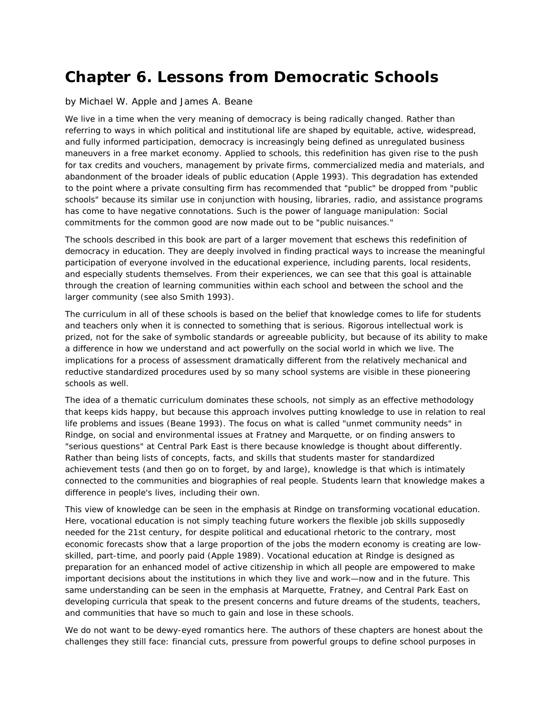# **Chapter 6. Lessons from Democratic Schools**

#### *by Michael W. Apple and James A. Beane*

We live in a time when the very meaning of democracy is being radically changed. Rather than referring to ways in which political and institutional life are shaped by equitable, active, widespread, and fully informed participation, democracy is increasingly being defined as unregulated business maneuvers in a free market economy. Applied to schools, this redefinition has given rise to the push for tax credits and vouchers, management by private firms, commercialized media and materials, and abandonment of the broader ideals of public education (Apple 1993). This degradation has extended to the point where a private consulting firm has recommended that "public" be dropped from "public schools" because its similar use in conjunction with housing, libraries, radio, and assistance programs has come to have negative connotations. Such is the power of language manipulation: Social commitments for the common good are now made out to be "public nuisances."

The schools described in this book are part of a larger movement that eschews this redefinition of democracy in education. They are deeply involved in finding practical ways to increase the meaningful participation of everyone involved in the educational experience, including parents, local residents, and especially students themselves. From their experiences, we can see that this goal is attainable through the creation of learning communities within each school and between the school and the larger community (see also Smith 1993).

The curriculum in all of these schools is based on the belief that knowledge comes to life for students and teachers only when it is connected to something that is serious. Rigorous intellectual work is prized, not for the sake of symbolic standards or agreeable publicity, but because of its ability to make a difference in how we understand and act powerfully on the social world in which we live. The implications for a process of assessment dramatically different from the relatively mechanical and reductive standardized procedures used by so many school systems are visible in these pioneering schools as well.

The idea of a thematic curriculum dominates these schools, not simply as an effective methodology that keeps kids happy, but because this approach involves putting knowledge to use in relation to real life problems and issues (Beane 1993). The focus on what is called "unmet community needs" in Rindge, on social and environmental issues at Fratney and Marquette, or on finding answers to "serious questions" at Central Park East is there because knowledge is thought about differently. Rather than being lists of concepts, facts, and skills that students master for standardized achievement tests (and then go on to forget, by and large), knowledge is that which is intimately connected to the communities and biographies of real people. Students learn that knowledge makes a difference in people's lives, including their own.

This view of knowledge can be seen in the emphasis at Rindge on transforming vocational education. Here, vocational education is not simply teaching future workers the flexible job skills supposedly needed for the 21st century, for despite political and educational rhetoric to the contrary, most economic forecasts show that a large proportion of the jobs the modern economy is creating are lowskilled, part-time, and poorly paid (Apple 1989). Vocational education at Rindge is designed as preparation for an enhanced model of active citizenship in which all people are empowered to make important decisions about the institutions in which they live and work—now and in the future. This same understanding can be seen in the emphasis at Marquette, Fratney, and Central Park East on developing curricula that speak to the present concerns and future dreams of the students, teachers, and communities that have so much to gain and lose in these schools.

We do not want to be dewy-eyed romantics here. The authors of these chapters are honest about the challenges they still face: financial cuts, pressure from powerful groups to define school purposes in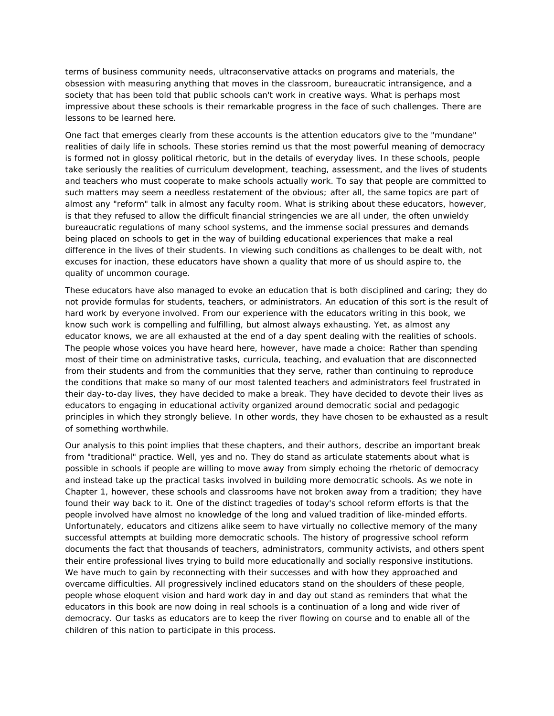terms of business community needs, ultraconservative attacks on programs and materials, the obsession with measuring anything that moves in the classroom, bureaucratic intransigence, and a society that has been told that public schools can't work in creative ways. What is perhaps most impressive about these schools is their remarkable progress in the face of such challenges. There are lessons to be learned here.

One fact that emerges clearly from these accounts is the attention educators give to the "mundane" realities of daily life in schools. These stories remind us that the most powerful meaning of democracy is formed not in glossy political rhetoric, but in the details of everyday lives. In these schools, people take seriously the realities of curriculum development, teaching, assessment, and the lives of students and teachers who must cooperate to make schools actually work. To say that people are committed to such matters may seem a needless restatement of the obvious; after all, the same topics are part of almost any "reform" talk in almost any faculty room. What is striking about these educators, however, is that they refused to allow the difficult financial stringencies we are all under, the often unwieldy bureaucratic regulations of many school systems, and the immense social pressures and demands being placed on schools to get in the way of building educational experiences that make a real difference in the lives of their students. In viewing such conditions as challenges to be dealt with, not excuses for inaction, these educators have shown a quality that more of us should aspire to, the quality of uncommon courage.

These educators have also managed to evoke an education that is both disciplined and caring; they do not provide formulas for students, teachers, or administrators. An education of this sort is the result of hard work by *everyone* involved. From our experience with the educators writing in this book, we know such work is compelling and fulfilling, but almost always exhausting. Yet, as almost any educator knows, we are all exhausted at the end of a day spent dealing with the realities of schools. The people whose voices you have heard here, however, have made a choice: Rather than spending most of their time on administrative tasks, curricula, teaching, and evaluation that are disconnected from their students and from the communities that they serve, rather than continuing to reproduce the conditions that make so many of our most talented teachers and administrators feel frustrated in their day-to-day lives, they have decided to make a break. They have decided to devote their lives as educators to engaging in educational activity organized around democratic social and pedagogic principles in which they strongly believe. In other words, they have chosen to be exhausted as a result of something worthwhile.

Our analysis to this point implies that these chapters, and their authors, describe an important break from "traditional" practice. Well, yes and no. They do stand as articulate statements about what is possible in schools if people are willing to move away from simply echoing the rhetoric of democracy and instead take up the practical tasks involved in building more democratic schools. As we note in Chapter 1, however, these schools and classrooms have not broken away from a tradition; they have found their way back to it. One of the distinct tragedies of today's school reform efforts is that the people involved have almost no knowledge of the long and valued tradition of like-minded efforts. Unfortunately, educators and citizens alike seem to have virtually no collective memory of the many successful attempts at building more democratic schools. The history of progressive school reform documents the fact that thousands of teachers, administrators, community activists, and others spent their entire professional lives trying to build more educationally and socially responsive institutions. We have much to gain by reconnecting with their successes and with how they approached and overcame difficulties. All progressively inclined educators stand on the shoulders of these people, people whose eloquent vision and hard work day in and day out stand as reminders that what the educators in this book are now doing in real schools is a continuation of a long and wide river of democracy. Our tasks as educators are to keep the river flowing on course and to enable all of the children of this nation to participate in this process.